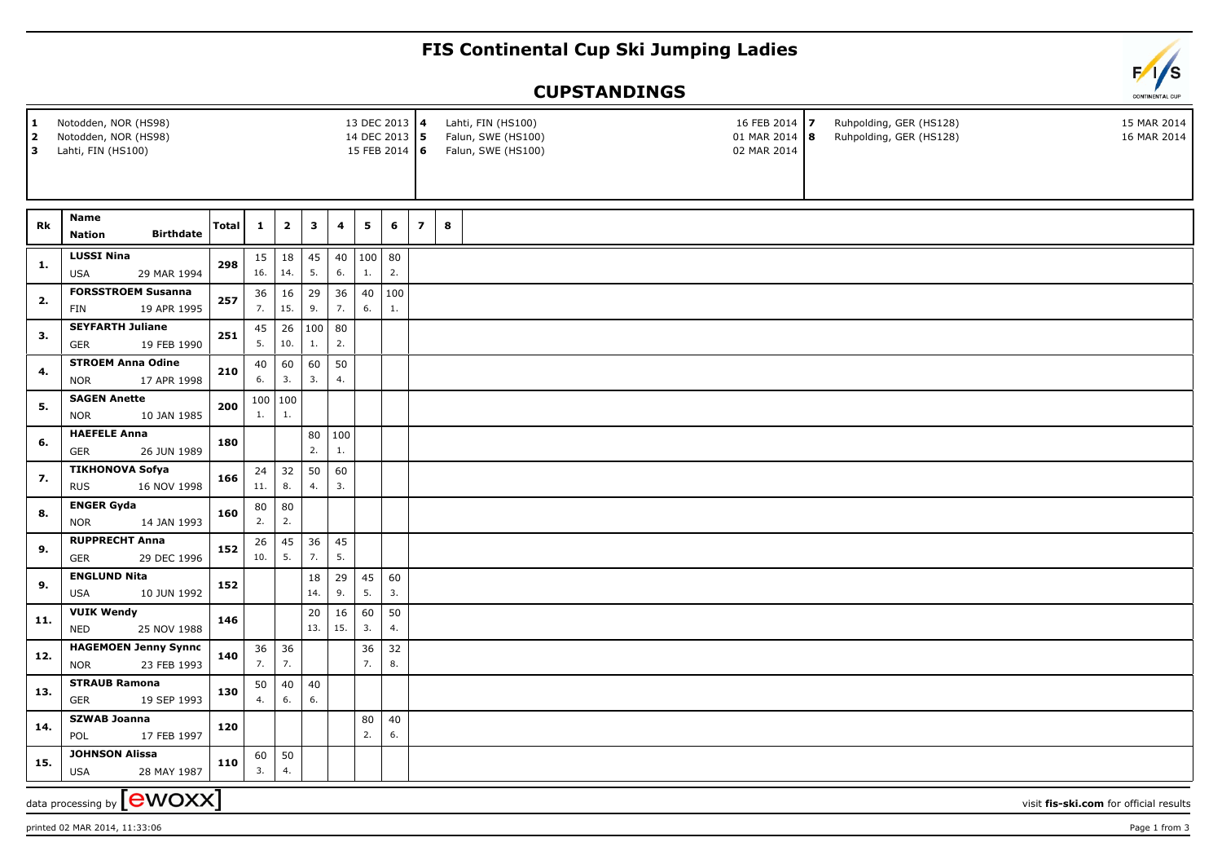## **FIS Continental Cup Ski Jumping Ladies**

## **CUPSTANDINGS**

| $\mathbf{1}$<br>$\mathbf{2}$<br>3 | Notodden, NOR (HS98)<br>13 DEC 2013 4<br>Notodden, NOR (HS98)<br>14 DEC 2013 5<br>Lahti, FIN (HS100)<br>15 FEB 2014 6 |              |              |                         |                   |                         |           |                                                                                          |                         |  |          | Lahti, FIN (HS100)<br>Falun, SWE (HS100)<br>Falun, SWE (HS100) |  | 16 FEB 2014 7<br>01 MAR 2014 8<br>02 MAR 2014 |  | Ruhpolding, GER (HS128)<br>Ruhpolding, GER (HS128) | 15 MAR 2014<br>16 MAR 2014 |  |  |
|-----------------------------------|-----------------------------------------------------------------------------------------------------------------------|--------------|--------------|-------------------------|-------------------|-------------------------|-----------|------------------------------------------------------------------------------------------|-------------------------|--|----------|----------------------------------------------------------------|--|-----------------------------------------------|--|----------------------------------------------------|----------------------------|--|--|
|                                   |                                                                                                                       |              |              |                         |                   |                         |           |                                                                                          |                         |  |          |                                                                |  |                                               |  |                                                    |                            |  |  |
| Rk                                | Name                                                                                                                  | <b>Total</b> | $\mathbf{1}$ | $\overline{\mathbf{2}}$ | $\mathbf{3}$      | $\overline{\mathbf{4}}$ | 5         | 6                                                                                        | $\overline{\mathbf{z}}$ |  | $\bf{8}$ |                                                                |  |                                               |  |                                                    |                            |  |  |
|                                   | <b>Birthdate</b><br><b>Nation</b>                                                                                     |              |              |                         |                   |                         |           |                                                                                          |                         |  |          |                                                                |  |                                               |  |                                                    |                            |  |  |
| 1.                                | <b>LUSSI Nina</b><br><b>USA</b><br>29 MAR 1994                                                                        | 298          | 16.          | $15 \mid 18$<br>14.     | 45<br>5.          | 40<br>6.                | 100<br>1. | 80<br>2.                                                                                 |                         |  |          |                                                                |  |                                               |  |                                                    |                            |  |  |
| 2.                                | <b>FORSSTROEM Susanna</b><br>19 APR 1995<br>FIN                                                                       | 257          | 36<br>7.     | 16<br>15.               | 29<br>9.          | 36<br>7.                | 40<br>6.  | 100<br>1.                                                                                |                         |  |          |                                                                |  |                                               |  |                                                    |                            |  |  |
| 3.                                | <b>SEYFARTH Juliane</b><br><b>GER</b><br>19 FEB 1990                                                                  | 251          | 45<br>5.     | 26<br>10.               | $\vert$ 100<br>1. | 80<br>2.                |           |                                                                                          |                         |  |          |                                                                |  |                                               |  |                                                    |                            |  |  |
| 4.                                | <b>STROEM Anna Odine</b><br><b>NOR</b><br>17 APR 1998                                                                 | 210          | 40<br>6.     | 60<br>3.                | 60<br>3.          | 50<br>4.                |           |                                                                                          |                         |  |          |                                                                |  |                                               |  |                                                    |                            |  |  |
|                                   | <b>SAGEN Anette</b>                                                                                                   |              |              | 100   100               |                   |                         |           |                                                                                          |                         |  |          |                                                                |  |                                               |  |                                                    |                            |  |  |
| 5.                                | <b>NOR</b><br>10 JAN 1985                                                                                             | 200          | 1.           | 1.                      |                   |                         |           |                                                                                          |                         |  |          |                                                                |  |                                               |  |                                                    |                            |  |  |
|                                   | <b>HAEFELE Anna</b>                                                                                                   | 180          |              |                         | 80                | 100                     |           |                                                                                          |                         |  |          |                                                                |  |                                               |  |                                                    |                            |  |  |
| 6.                                | GER<br>26 JUN 1989                                                                                                    |              |              |                         | 2.                | 1.                      |           |                                                                                          |                         |  |          |                                                                |  |                                               |  |                                                    |                            |  |  |
| 7.                                | <b>TIKHONOVA Sofya</b><br><b>RUS</b><br>16 NOV 1998                                                                   | 166          | 11.          | $24 \mid 32$<br>8.      | 50<br>4.          | 60<br>3.                |           |                                                                                          |                         |  |          |                                                                |  |                                               |  |                                                    |                            |  |  |
|                                   | <b>ENGER Gyda</b>                                                                                                     | 160          | 80           | 80                      |                   |                         |           |                                                                                          |                         |  |          |                                                                |  |                                               |  |                                                    |                            |  |  |
| 8.                                | <b>NOR</b><br>14 JAN 1993                                                                                             |              | 2.           | 2.                      |                   |                         |           |                                                                                          |                         |  |          |                                                                |  |                                               |  |                                                    |                            |  |  |
| 9.                                | <b>RUPPRECHT Anna</b>                                                                                                 | 152          | 26           | 45                      | 36                | 45                      |           |                                                                                          |                         |  |          |                                                                |  |                                               |  |                                                    |                            |  |  |
|                                   | GER<br>29 DEC 1996<br><b>ENGLUND Nita</b>                                                                             |              | 10.          | 5.                      | 7.                | 5.                      |           |                                                                                          |                         |  |          |                                                                |  |                                               |  |                                                    |                            |  |  |
| 9.                                | <b>USA</b><br>10 JUN 1992                                                                                             | 152          |              |                         | 18<br>14.         | 29<br>9.                | 45<br>5.  | 60<br>3.                                                                                 |                         |  |          |                                                                |  |                                               |  |                                                    |                            |  |  |
| 11.                               | <b>VUIK Wendy</b><br>25 NOV 1988<br><b>NED</b>                                                                        | 146          |              |                         | 20<br>13.         | 16<br>15.               | 60<br>3.  | 50<br>4.                                                                                 |                         |  |          |                                                                |  |                                               |  |                                                    |                            |  |  |
| 12.                               | <b>HAGEMOEN Jenny Synno</b>                                                                                           |              | 36           | 36                      |                   |                         | 36        | 32                                                                                       |                         |  |          |                                                                |  |                                               |  |                                                    |                            |  |  |
|                                   | 23 FEB 1993<br><b>NOR</b>                                                                                             | 140          | 7.           | 7.                      |                   |                         | 7.        | 8.                                                                                       |                         |  |          |                                                                |  |                                               |  |                                                    |                            |  |  |
| 13.                               | <b>STRAUB Ramona</b><br><b>GER</b><br>19 SEP 1993                                                                     | 130          | 50<br>4.     | 40<br>6.                | 40<br>6.          |                         |           |                                                                                          |                         |  |          |                                                                |  |                                               |  |                                                    |                            |  |  |
| 14.                               | <b>SZWAB Joanna</b><br>POL<br>17 FEB 1997                                                                             | 120          |              |                         |                   |                         | 80<br>2.  | 40<br>6.                                                                                 |                         |  |          |                                                                |  |                                               |  |                                                    |                            |  |  |
|                                   | <b>JOHNSON Alissa</b>                                                                                                 |              | 60           | 50                      |                   |                         |           |                                                                                          |                         |  |          |                                                                |  |                                               |  |                                                    |                            |  |  |
| 15.                               | <b>USA</b><br>28 MAY 1987                                                                                             | 110          | 3.           | 4.                      |                   |                         |           |                                                                                          |                         |  |          |                                                                |  |                                               |  |                                                    |                            |  |  |
|                                   |                                                                                                                       |              |              |                         |                   |                         |           | <sub>data processing by</sub> $\bm{[e_{WOX}}]$<br>visit fis-ski.com for official results |                         |  |          |                                                                |  |                                               |  |                                                    |                            |  |  |

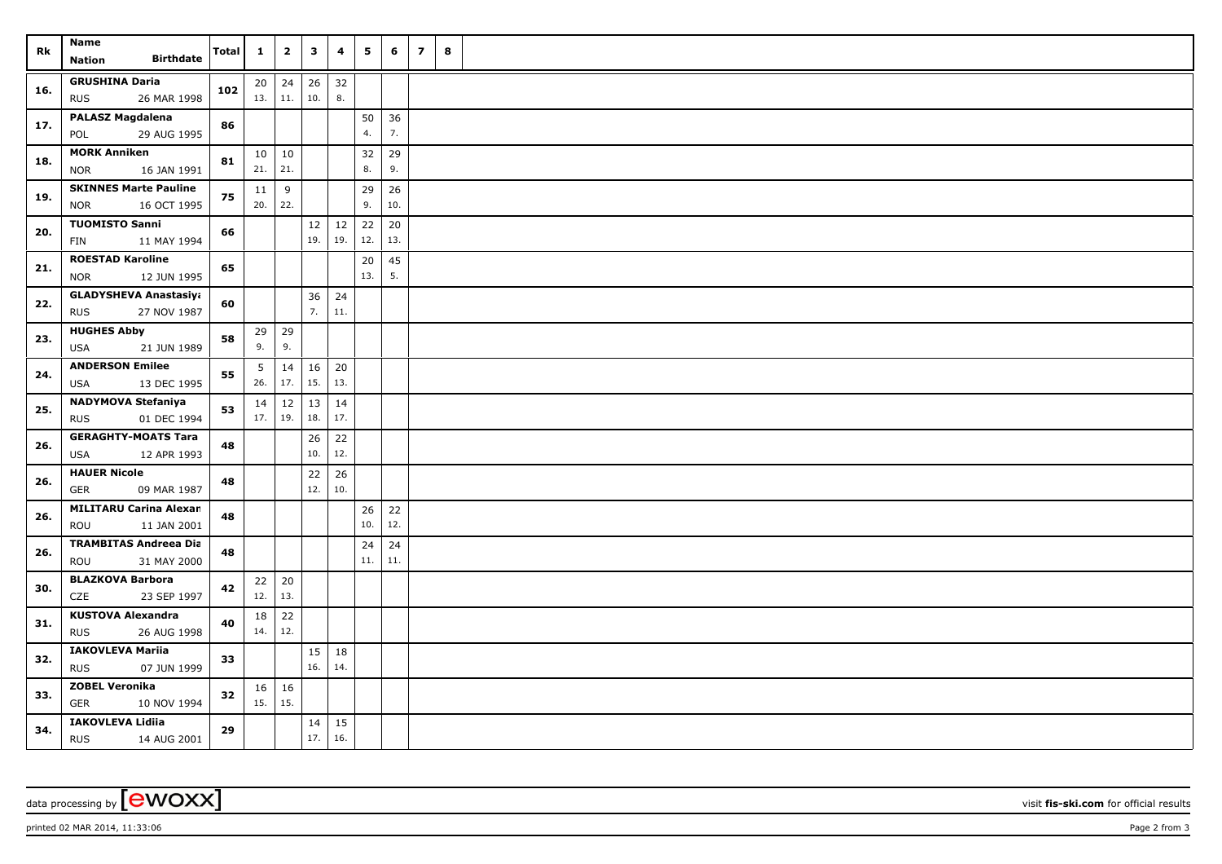| Rk         | Name<br><b>Birthdate</b>                                  | Total    | $\mathbf{1}$ | $\mathbf{2}$ | $\overline{\mathbf{3}}$ | 4         | 5         | 6         | $\overline{ }$ | 8   |  |
|------------|-----------------------------------------------------------|----------|--------------|--------------|-------------------------|-----------|-----------|-----------|----------------|-----|--|
|            | Nation                                                    |          |              |              |                         |           |           |           |                |     |  |
| 16.        | <b>GRUSHINA Daria</b>                                     | 102      |              | $20 \mid 24$ | 26                      | 32        |           |           |                |     |  |
|            | <b>RUS</b><br>26 MAR 1998                                 |          | 13.          | 11.          | 10.                     | 8.        |           |           |                |     |  |
| 17.        | <b>PALASZ Magdalena</b>                                   | 86       |              |              |                         |           | 50        | 36        |                |     |  |
|            | 29 AUG 1995<br>POL                                        |          |              |              |                         |           | 4.        | 7.        |                |     |  |
| 18.<br>19. | <b>MORK Anniken</b>                                       | 81<br>75 |              | 10 10        |                         |           | 32        | 29        |                |     |  |
|            | <b>NOR</b><br>16 JAN 1991                                 |          | 21.          | 21.          |                         |           | 8.        | 9.        |                |     |  |
|            | <b>SKINNES Marte Pauline</b>                              |          | 11           | 9            |                         |           | 29        | 26        |                |     |  |
|            | <b>NOR</b><br>16 OCT 1995                                 |          | 20.          | 22.          |                         |           | 9.        | 10.       |                |     |  |
| 20.        | <b>TUOMISTO Sanni</b>                                     | 66       |              |              | 12<br>19.               | 12        | 22<br>12. | 20<br>13. |                |     |  |
|            | FIN<br>11 MAY 1994                                        |          |              |              |                         | 19.       |           |           |                |     |  |
| 21.        | <b>ROESTAD Karoline</b>                                   | 65       |              |              |                         |           | 20<br>13. | 45<br>5.  |                |     |  |
|            | <b>NOR</b><br>12 JUN 1995                                 |          |              |              |                         |           |           |           |                |     |  |
| 22.        | <b>GLADYSHEVA Anastasiya</b><br><b>RUS</b><br>27 NOV 1987 | 60       |              |              | 36<br>7.                | 24<br>11. |           |           |                |     |  |
|            | <b>HUGHES Abby</b>                                        |          |              |              |                         |           |           |           |                |     |  |
| 23.        | <b>USA</b><br>21 JUN 1989                                 | 58       | 29<br>9.     | 29<br>9.     |                         |           |           |           |                |     |  |
| 24.        | <b>ANDERSON Emilee</b>                                    |          |              |              |                         |           |           |           |                |     |  |
|            | 13 DEC 1995<br><b>USA</b>                                 | 55       | 5<br>26.     | 14<br>17.    | 16<br>15.               | 20<br>13. |           |           |                |     |  |
|            | <b>NADYMOVA Stefaniya</b>                                 |          | 14           | 12           | 13                      | 14        |           |           |                |     |  |
| 25.        | <b>RUS</b><br>01 DEC 1994                                 | 53       | 17.          | 19.          | 18.                     | 17.       |           |           |                |     |  |
| 26.        | <b>GERAGHTY-MOATS Tara</b>                                | 48       |              |              | 26                      | 22        |           |           |                |     |  |
|            | <b>USA</b><br>12 APR 1993                                 |          |              |              | 10.                     | 12.       |           |           |                |     |  |
| 26.        | <b>HAUER Nicole</b>                                       | 48       |              |              | 22                      | 26        |           |           |                |     |  |
|            | GER<br>09 MAR 1987                                        |          |              |              | 12.                     | 10.       |           |           |                |     |  |
|            | <b>MILITARU Carina Alexan</b>                             | 48       |              |              |                         |           | 26        | $22$      |                |     |  |
| 26.        | ROU<br>11 JAN 2001                                        |          |              |              |                         |           | 10.       | 12.       |                |     |  |
|            | <b>TRAMBITAS Andreea Dia</b>                              | 48       |              |              |                         |           | 24        | 24        |                |     |  |
| 26.        | 31 MAY 2000<br>ROU                                        |          |              |              |                         |           |           |           | 11.            | 11. |  |
|            | <b>BLAZKOVA Barbora</b>                                   |          |              | $22 \mid 20$ |                         |           |           |           |                |     |  |
| 30.        | CZE<br>23 SEP 1997                                        | 42       | 12.          | 13.          |                         |           |           |           |                |     |  |
| 31.        | <b>KUSTOVA Alexandra</b>                                  |          | 18           | 22           |                         |           |           |           |                |     |  |
|            | 26 AUG 1998<br><b>RUS</b>                                 | 40       | 14.          | 12.          |                         |           |           |           |                |     |  |
| 32.        | <b>IAKOVLEVA Mariia</b>                                   |          |              |              | 15                      | 18        |           |           |                |     |  |
|            | <b>RUS</b><br>07 JUN 1999                                 | 33       |              |              | 16.                     | 14.       |           |           |                |     |  |
| 33.        | <b>ZOBEL Veronika</b>                                     | 32       |              | $16 \mid 16$ |                         |           |           |           |                |     |  |
|            | GER<br>10 NOV 1994                                        |          | 15.          | 15.          |                         |           |           |           |                |     |  |
| 34.        | <b>IAKOVLEVA Lidiia</b>                                   | 29       |              |              | 14                      | 15        |           |           |                |     |  |
|            | <b>RUS</b><br>14 AUG 2001                                 |          |              |              | 17.                     | 16.       |           |           |                |     |  |

data processing by **CWOXX** visit fis-ski.com for official results

printed 02 MAR 2014, 11:33:06 Page 2 from 3